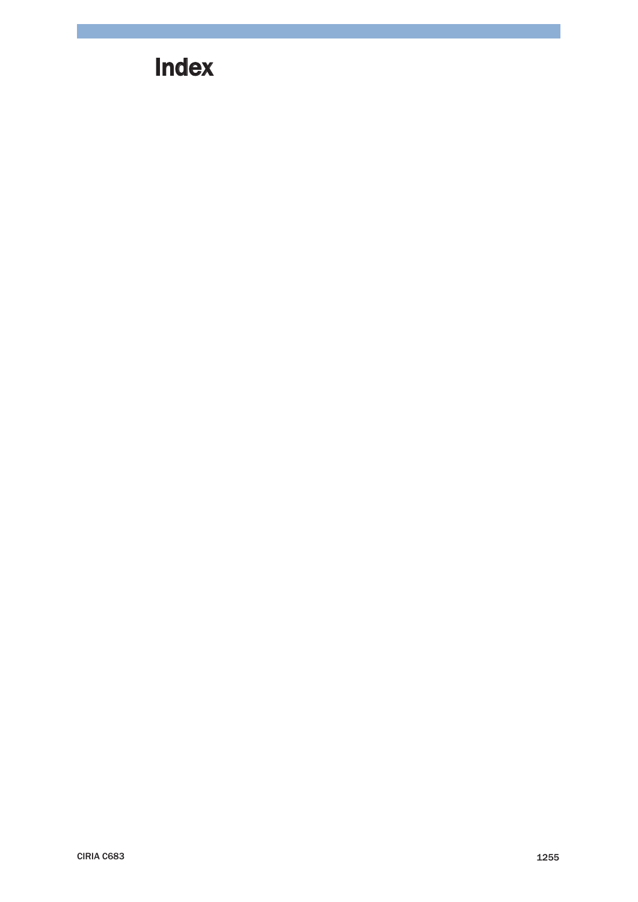## **Index**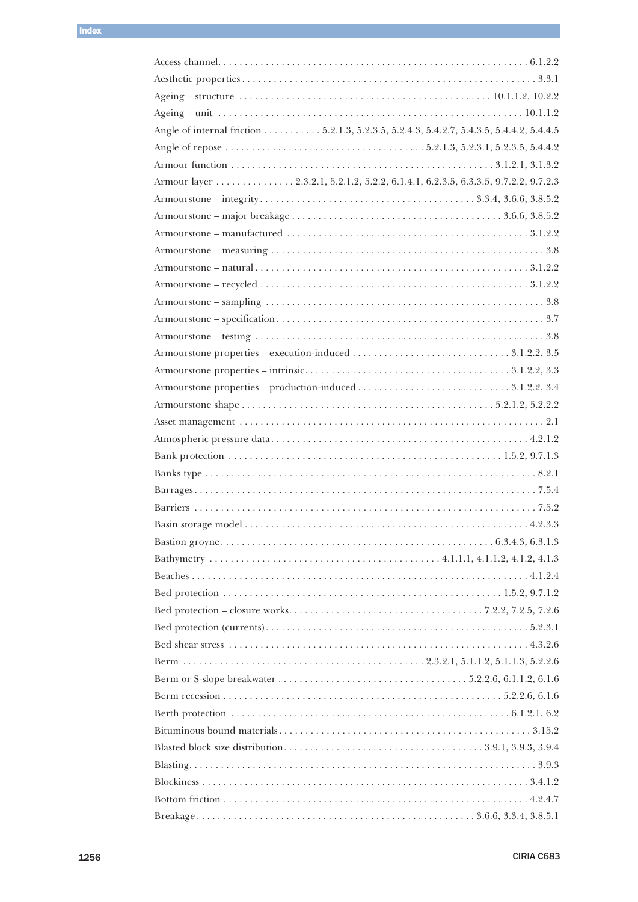| Angle of internal friction 5.2.1.3, 5.2.3.5, 5.2.4.3, 5.4.2.7, 5.4.3.5, 5.4.4.2, 5.4.4.5 |  |
|------------------------------------------------------------------------------------------|--|
|                                                                                          |  |
|                                                                                          |  |
| Armour layer 2.3.2.1, 5.2.1.2, 5.2.2, 6.1.4.1, 6.2.3.5, 6.3.3.5, 9.7.2.2, 9.7.2.3        |  |
|                                                                                          |  |
|                                                                                          |  |
|                                                                                          |  |
|                                                                                          |  |
|                                                                                          |  |
|                                                                                          |  |
|                                                                                          |  |
|                                                                                          |  |
|                                                                                          |  |
|                                                                                          |  |
|                                                                                          |  |
|                                                                                          |  |
|                                                                                          |  |
|                                                                                          |  |
|                                                                                          |  |
|                                                                                          |  |
|                                                                                          |  |
|                                                                                          |  |
|                                                                                          |  |
|                                                                                          |  |
|                                                                                          |  |
|                                                                                          |  |
|                                                                                          |  |
|                                                                                          |  |
|                                                                                          |  |
|                                                                                          |  |
|                                                                                          |  |
|                                                                                          |  |
|                                                                                          |  |
|                                                                                          |  |
|                                                                                          |  |
|                                                                                          |  |
|                                                                                          |  |
|                                                                                          |  |
|                                                                                          |  |
|                                                                                          |  |
|                                                                                          |  |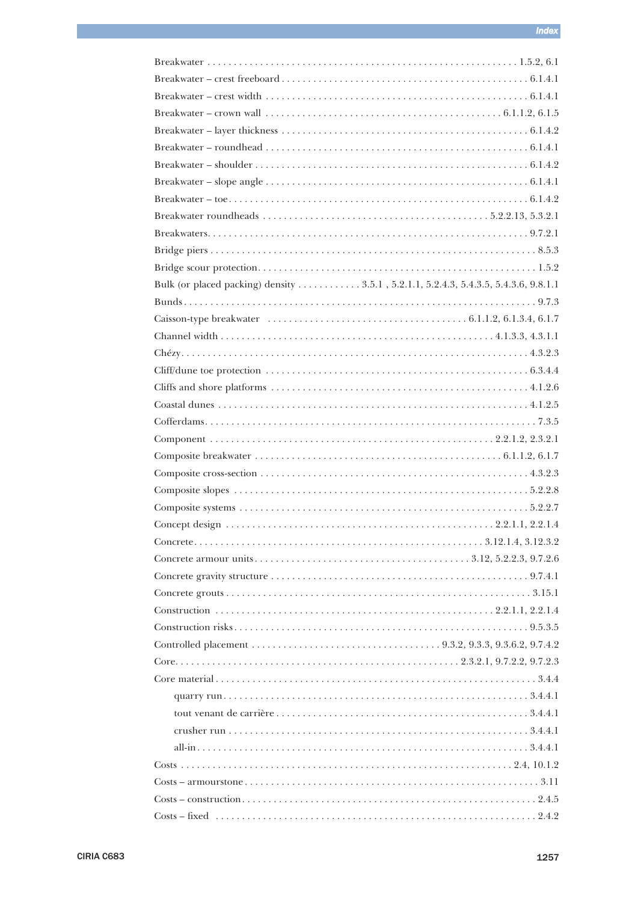| Bulk (or placed packing) density 3.5.1, 5.2.1.1, 5.2.4.3, 5.4.3.5, 5.4.3.6, 9.8.1.1 |
|-------------------------------------------------------------------------------------|
|                                                                                     |
|                                                                                     |
|                                                                                     |
|                                                                                     |
|                                                                                     |
|                                                                                     |
|                                                                                     |
|                                                                                     |
|                                                                                     |
|                                                                                     |
|                                                                                     |
|                                                                                     |
|                                                                                     |
|                                                                                     |
|                                                                                     |
|                                                                                     |
|                                                                                     |
|                                                                                     |
|                                                                                     |
|                                                                                     |
|                                                                                     |
|                                                                                     |
|                                                                                     |
|                                                                                     |
|                                                                                     |
|                                                                                     |
|                                                                                     |
|                                                                                     |
|                                                                                     |
|                                                                                     |
|                                                                                     |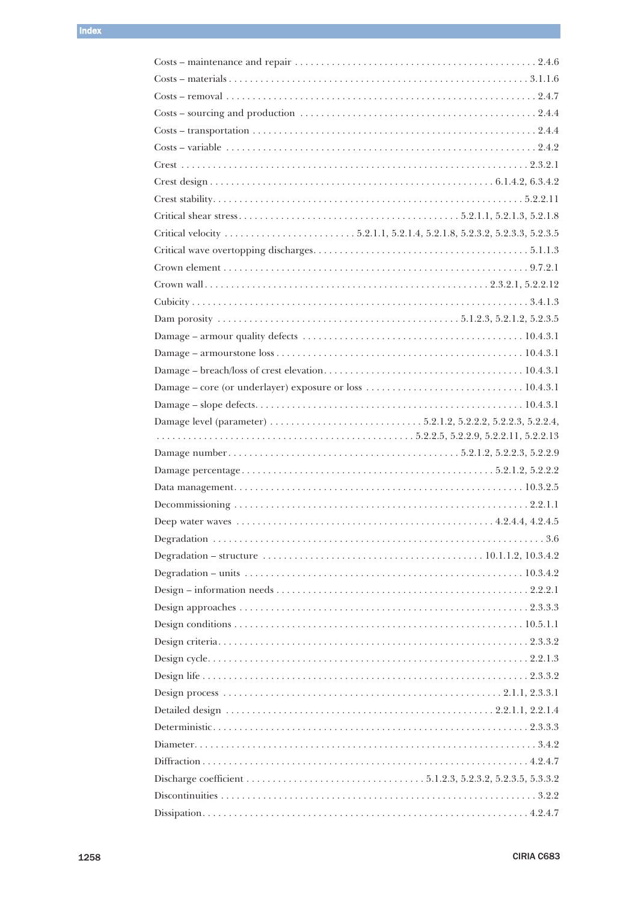| $\text{Costs}$ – variable $\ldots$ $\ldots$ $\ldots$ $\ldots$ $\ldots$ $\ldots$ $\ldots$ $\ldots$ $\ldots$ $\ldots$ $\ldots$ $\ldots$ $\ldots$ $\ldots$ $\ldots$ $\ldots$ $\ldots$ $\ldots$ $\ldots$ $\ldots$ $\ldots$ $\ldots$ $\ldots$ $\ldots$ $\ldots$ $\ldots$ $\ldots$ $\ldots$ $\ldots$ $\ldots$ $\ldots$ $\ldots$ $\ldots$ $\ld$ |  |
|------------------------------------------------------------------------------------------------------------------------------------------------------------------------------------------------------------------------------------------------------------------------------------------------------------------------------------------|--|
|                                                                                                                                                                                                                                                                                                                                          |  |
|                                                                                                                                                                                                                                                                                                                                          |  |
|                                                                                                                                                                                                                                                                                                                                          |  |
|                                                                                                                                                                                                                                                                                                                                          |  |
|                                                                                                                                                                                                                                                                                                                                          |  |
|                                                                                                                                                                                                                                                                                                                                          |  |
|                                                                                                                                                                                                                                                                                                                                          |  |
|                                                                                                                                                                                                                                                                                                                                          |  |
|                                                                                                                                                                                                                                                                                                                                          |  |
|                                                                                                                                                                                                                                                                                                                                          |  |
|                                                                                                                                                                                                                                                                                                                                          |  |
|                                                                                                                                                                                                                                                                                                                                          |  |
|                                                                                                                                                                                                                                                                                                                                          |  |
|                                                                                                                                                                                                                                                                                                                                          |  |
|                                                                                                                                                                                                                                                                                                                                          |  |
|                                                                                                                                                                                                                                                                                                                                          |  |
|                                                                                                                                                                                                                                                                                                                                          |  |
|                                                                                                                                                                                                                                                                                                                                          |  |
|                                                                                                                                                                                                                                                                                                                                          |  |
|                                                                                                                                                                                                                                                                                                                                          |  |
|                                                                                                                                                                                                                                                                                                                                          |  |
|                                                                                                                                                                                                                                                                                                                                          |  |
|                                                                                                                                                                                                                                                                                                                                          |  |
|                                                                                                                                                                                                                                                                                                                                          |  |
| Degradation – structure $\dots \dots \dots \dots \dots \dots \dots \dots \dots \dots \dots \dots \dots \dots \dots 10.1.1.2, 10.3.4.2$                                                                                                                                                                                                   |  |
|                                                                                                                                                                                                                                                                                                                                          |  |
|                                                                                                                                                                                                                                                                                                                                          |  |
|                                                                                                                                                                                                                                                                                                                                          |  |
|                                                                                                                                                                                                                                                                                                                                          |  |
|                                                                                                                                                                                                                                                                                                                                          |  |
|                                                                                                                                                                                                                                                                                                                                          |  |
|                                                                                                                                                                                                                                                                                                                                          |  |
|                                                                                                                                                                                                                                                                                                                                          |  |
|                                                                                                                                                                                                                                                                                                                                          |  |
|                                                                                                                                                                                                                                                                                                                                          |  |
|                                                                                                                                                                                                                                                                                                                                          |  |
|                                                                                                                                                                                                                                                                                                                                          |  |
|                                                                                                                                                                                                                                                                                                                                          |  |
|                                                                                                                                                                                                                                                                                                                                          |  |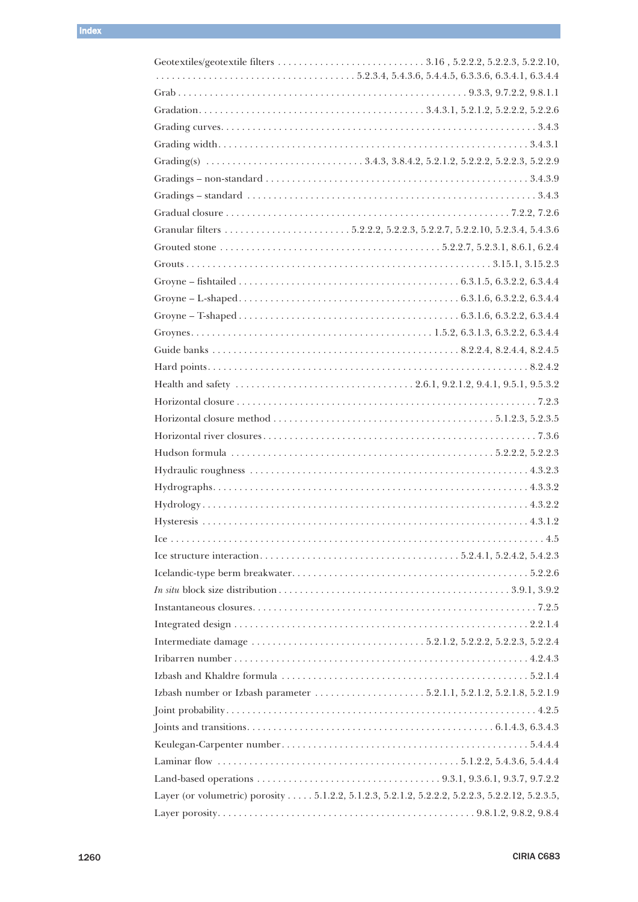| Layer (or volumetric) porosity 5.1.2.2, 5.1.2.3, 5.2.1.2, 5.2.2.2, 5.2.2.3, 5.2.2.12, 5.2.3.5, |  |
|------------------------------------------------------------------------------------------------|--|
|                                                                                                |  |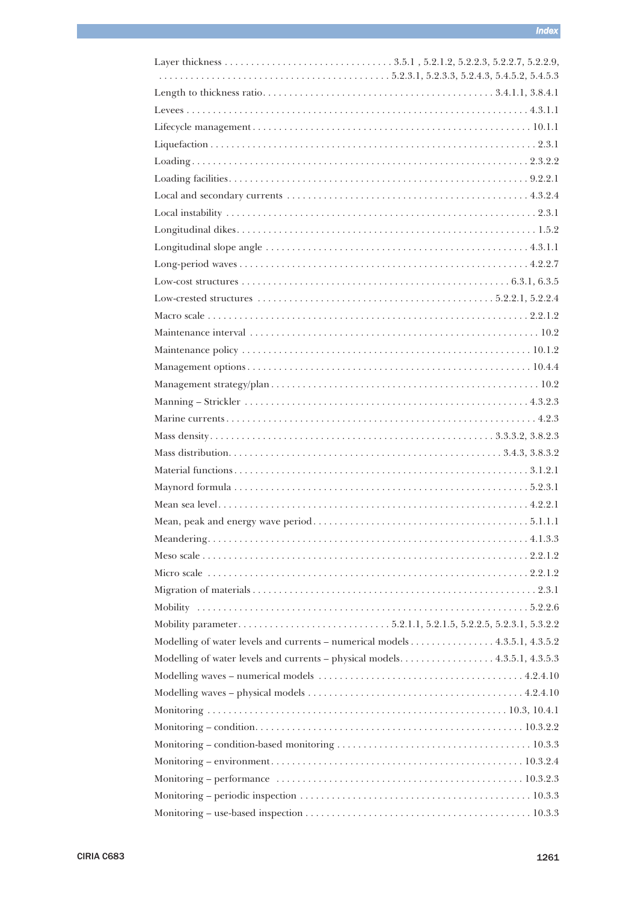| Modelling of water levels and currents - numerical models 4.3.5.1, 4.3.5.2 |  |
|----------------------------------------------------------------------------|--|
| Modelling of water levels and currents – physical models. 4.3.5.1, 4.3.5.3 |  |
|                                                                            |  |
|                                                                            |  |
|                                                                            |  |
|                                                                            |  |
|                                                                            |  |
|                                                                            |  |
|                                                                            |  |
|                                                                            |  |
|                                                                            |  |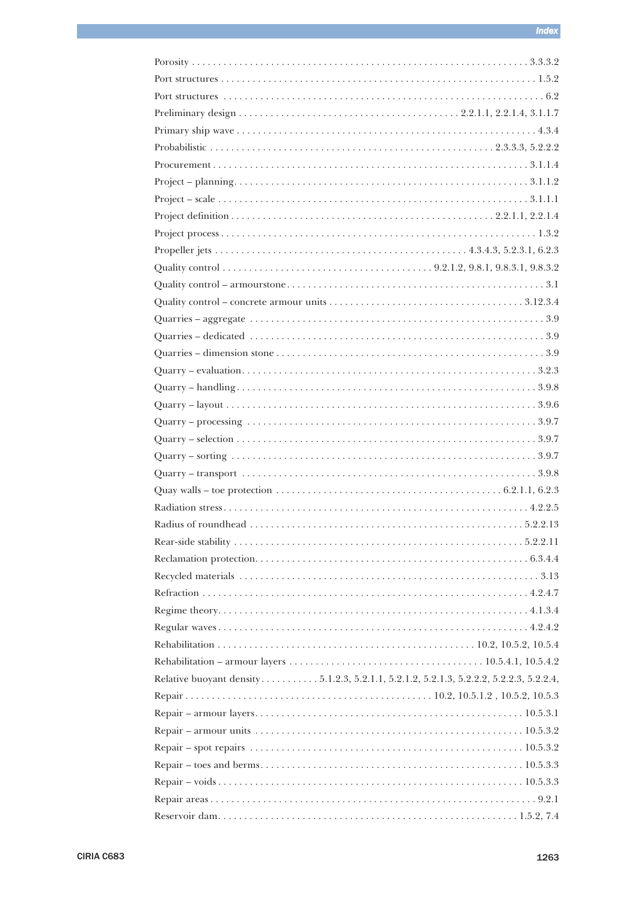| $Quarry - handling. \dots 3.9.8$                                                       |
|----------------------------------------------------------------------------------------|
|                                                                                        |
|                                                                                        |
|                                                                                        |
|                                                                                        |
|                                                                                        |
|                                                                                        |
|                                                                                        |
|                                                                                        |
|                                                                                        |
|                                                                                        |
|                                                                                        |
|                                                                                        |
|                                                                                        |
|                                                                                        |
|                                                                                        |
|                                                                                        |
| Relative buoyant density5.1.2.3, 5.2.1.1, 5.2.1.2, 5.2.1.3, 5.2.2.2, 5.2.2.3, 5.2.2.4, |
|                                                                                        |
|                                                                                        |
|                                                                                        |
|                                                                                        |
|                                                                                        |
|                                                                                        |
|                                                                                        |
|                                                                                        |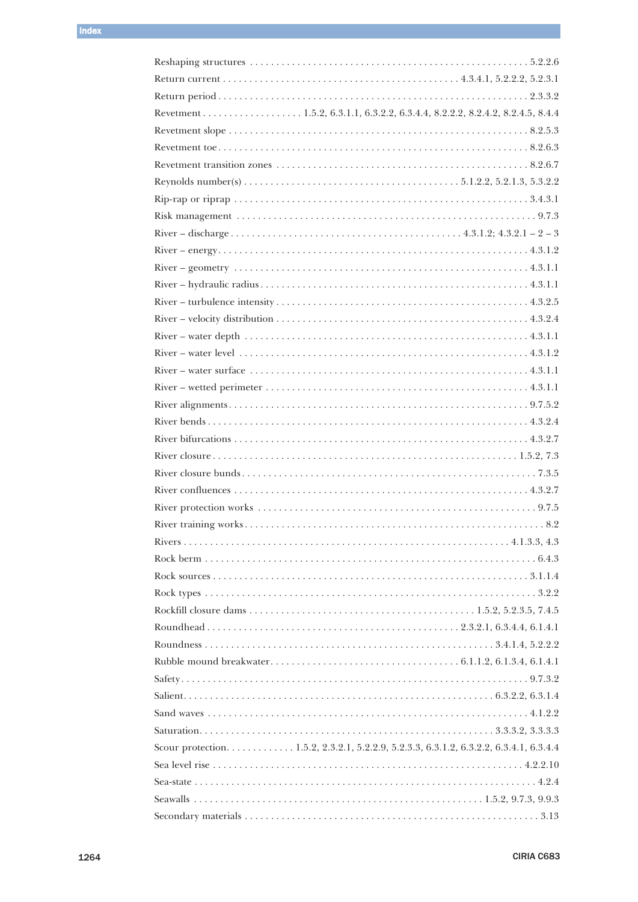| Revetment 1.5.2, 6.3.1.1, 6.3.2.2, 6.3.4.4, 8.2.2.2, 8.2.4.2, 8.2.4.5, 8.4.4         |  |
|--------------------------------------------------------------------------------------|--|
|                                                                                      |  |
|                                                                                      |  |
|                                                                                      |  |
|                                                                                      |  |
|                                                                                      |  |
|                                                                                      |  |
|                                                                                      |  |
|                                                                                      |  |
|                                                                                      |  |
|                                                                                      |  |
|                                                                                      |  |
|                                                                                      |  |
|                                                                                      |  |
|                                                                                      |  |
|                                                                                      |  |
|                                                                                      |  |
|                                                                                      |  |
|                                                                                      |  |
|                                                                                      |  |
|                                                                                      |  |
|                                                                                      |  |
|                                                                                      |  |
|                                                                                      |  |
|                                                                                      |  |
|                                                                                      |  |
|                                                                                      |  |
|                                                                                      |  |
|                                                                                      |  |
|                                                                                      |  |
|                                                                                      |  |
|                                                                                      |  |
|                                                                                      |  |
|                                                                                      |  |
|                                                                                      |  |
|                                                                                      |  |
|                                                                                      |  |
| Scour protection1.5.2, 2.3.2.1, 5.2.2.9, 5.2.3.3, 6.3.1.2, 6.3.2.2, 6.3.4.1, 6.3.4.4 |  |
|                                                                                      |  |
|                                                                                      |  |
|                                                                                      |  |
|                                                                                      |  |
|                                                                                      |  |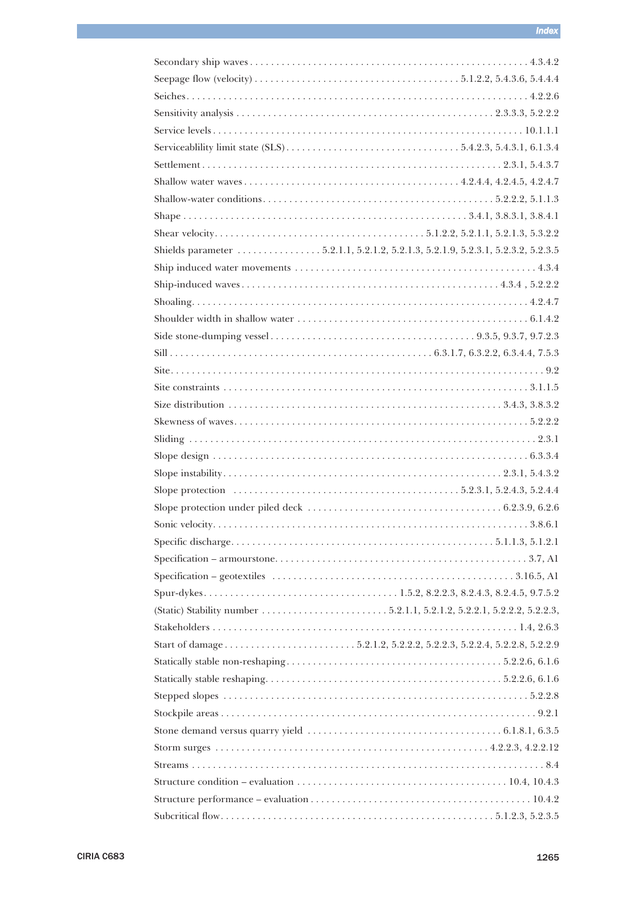| Shields parameter 5.2.1.1, 5.2.1.2, 5.2.1.3, 5.2.1.9, 5.2.3.1, 5.2.3.2, 5.2.3.5 |  |
|---------------------------------------------------------------------------------|--|
|                                                                                 |  |
|                                                                                 |  |
|                                                                                 |  |
|                                                                                 |  |
|                                                                                 |  |
|                                                                                 |  |
|                                                                                 |  |
|                                                                                 |  |
|                                                                                 |  |
|                                                                                 |  |
|                                                                                 |  |
|                                                                                 |  |
|                                                                                 |  |
|                                                                                 |  |
|                                                                                 |  |
|                                                                                 |  |
|                                                                                 |  |
|                                                                                 |  |
|                                                                                 |  |
|                                                                                 |  |
|                                                                                 |  |
|                                                                                 |  |
|                                                                                 |  |
|                                                                                 |  |
|                                                                                 |  |
|                                                                                 |  |
|                                                                                 |  |
|                                                                                 |  |
|                                                                                 |  |
|                                                                                 |  |
|                                                                                 |  |
|                                                                                 |  |
|                                                                                 |  |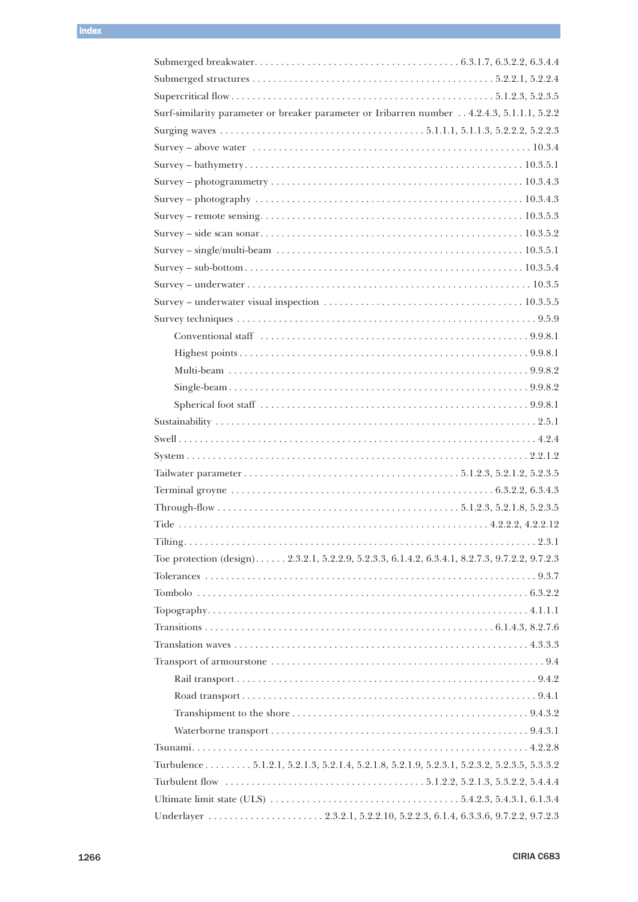| Surf-similarity parameter or breaker parameter or Iribarren number 4.2.4.3, 5.1.1.1, 5.2.2                         |
|--------------------------------------------------------------------------------------------------------------------|
|                                                                                                                    |
|                                                                                                                    |
|                                                                                                                    |
|                                                                                                                    |
|                                                                                                                    |
|                                                                                                                    |
|                                                                                                                    |
|                                                                                                                    |
|                                                                                                                    |
| $Surve$ – underwater $\dots\dots\dots\dots\dots\dots\dots\dots\dots\dots\dots\dots\dots\dots\dots\dots\dots10.3.5$ |
|                                                                                                                    |
|                                                                                                                    |
|                                                                                                                    |
|                                                                                                                    |
|                                                                                                                    |
|                                                                                                                    |
|                                                                                                                    |
|                                                                                                                    |
|                                                                                                                    |
|                                                                                                                    |
|                                                                                                                    |
|                                                                                                                    |
|                                                                                                                    |
|                                                                                                                    |
|                                                                                                                    |
| Toe protection (design) 2.3.2.1, 5.2.2.9, 5.2.3.3, 6.1.4.2, 6.3.4.1, 8.2.7.3, 9.7.2.2, 9.7.2.3                     |
|                                                                                                                    |
|                                                                                                                    |
|                                                                                                                    |
|                                                                                                                    |
|                                                                                                                    |
|                                                                                                                    |
|                                                                                                                    |
|                                                                                                                    |
|                                                                                                                    |
|                                                                                                                    |
|                                                                                                                    |
| Turbulence 5.1.2.1, 5.2.1.3, 5.2.1.4, 5.2.1.8, 5.2.1.9, 5.2.3.1, 5.2.3.2, 5.2.3.5, 5.3.3.2                         |
|                                                                                                                    |
|                                                                                                                    |
|                                                                                                                    |